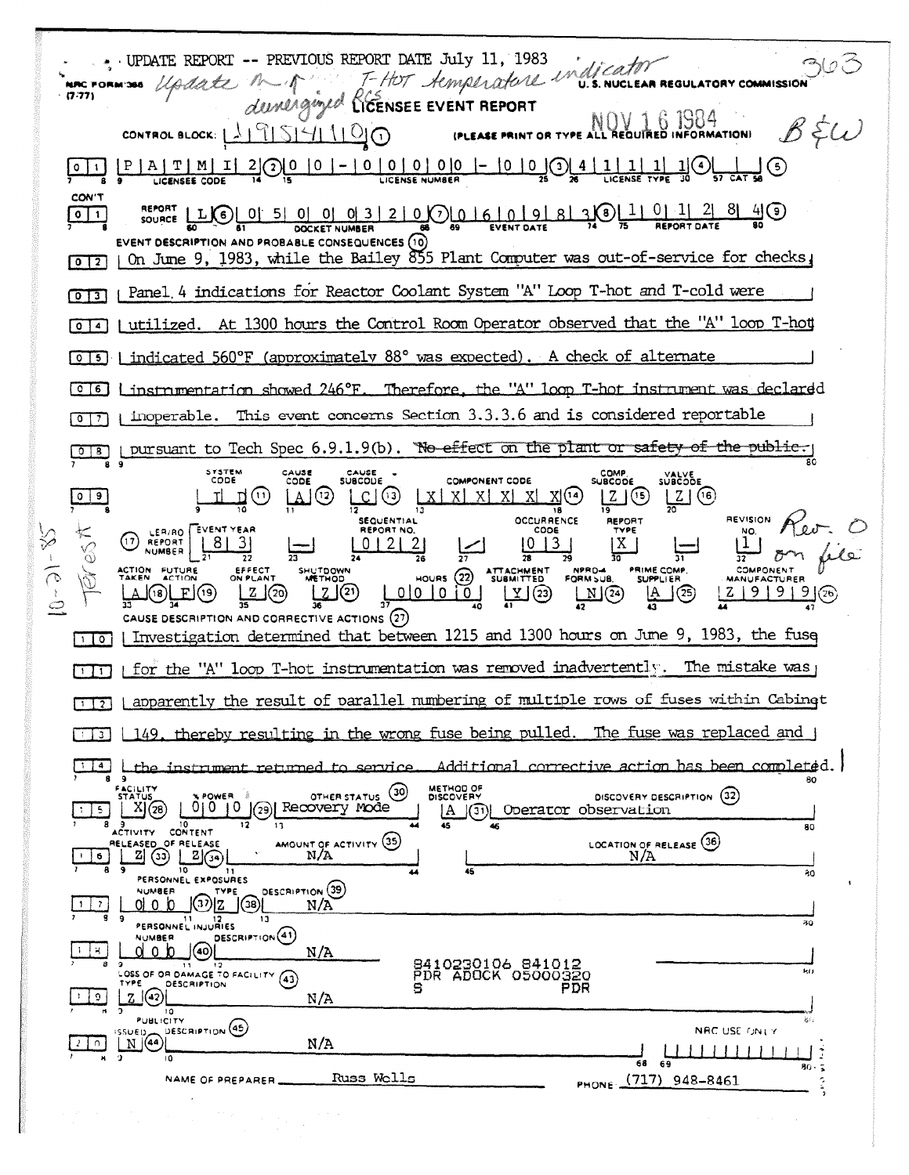Update M A T-HOT Aemperature in discator . UPDATE REPORT -- PREVIOUS REPORT DATE July 11, 1983 363 **NRC FORM'366**  $(7.77)$  $\bigotimes_{\text{PLEASE PRINT OR TYPE}\text{ALL REQUIRED INFORMATION}}\{0, 100, 1000\}$  $\mathcal{B}$   $\xi\omega$ CONTROL BLOCK:  $\lfloor \frac{1}{2} \rfloor \frac{9}{5} \rfloor \frac{5}{1} \frac{1}{1} \frac{1}{0} \frac{0}{0}$  $\frac{\left[\frac{P}{A} \mid T \mid M \mid I\right]}{\frac{1}{P}} = \frac{2}{P}$ (<u>5</u>) إجبا CON'T **REPORT LUC** 0 0 5 0 0 0 3 2 0 0 0 6 0 9 8 3 3 4 0 1 1 0 1 2 8 4 9  $\sqrt{2}$ EVENT DESCRIPTION AND PROBABLE CONSEQUENCES (10) | On June 9, 1983, while the Bailey 855 Plant Computer was out-of-service for checks,  $\sqrt{0}$ [0]] | Panel 4 indications for Reactor Coolant System "A" Loop T-hot and T-cold were [0] 4] Lutilized. At 1300 hours the Control Room Operator observed that the "A" loop T-hot [0][5] | indicated 560°F (approximately 88° was expected). A check of alternate [0]6] Linstrumentation showed 246°F. Therefore, the "A" loop T-hot instrument was declared This event concerns Section 3.3.3.6 and is considered reportable inoperable.  $\sqrt{2}$ on pursuant to Tech Spec 6.9.1.9(b). No effect on the plant or safety of the public. CAUSE<br>CODE SYSTEM<br>CODE CAUSE -<br>SUBCOUE COMP.<br>SUBCODE SUBCODE **COMPONENT CODE**  $\Box$   $\odot$  $X(14)$  $L2 \times 6$ .ក(ប)  $A(3)$  $X$   $X$   $X$   $X$   $X$ <u> Z J</u> (೨ 고 18 **OCCURRENCE SEQUENTIAL REVISION** REPORT NO. LER/RO EVENT YEAR  $3 - 1 - 6 - 1$ (17) REPORT  $01212$  $|8|$  $|0|13$ 31 ΙX. NPRO-4 PRIME COMP. EFFECT SHUTDOWN ATTACHMENT<br>SUBMITTED COMPONEN HOURS  $(22)$  $\frac{1}{36}$  $\mathbb{Z}$  $\mathbb{Q}$ ட்டு  $2 | 9 | 9 | 9 | (26)$  $\Box$ @ [(8)LE](9) ি তা CAUSE DESCRIPTION AND CORRECTIVE ACTIONS  $(27)$ [1] o] | Investigation determined that between 1215 and 1300 hours on June 9, 1983, the fuse  $\overline{[1]1]}$  | for the "A" loop T-hot instrumentation was removed inadvertently. The mistake was | [1] [apparently the result of parallel numbering of multiple rows of fuses within Cabinet 149, thereby resulting in the wrong fuse being pulled. The fuse was replaced and j  $\Box$   $\Box$  $\sqrt{14}$ Additional corrective action has been completed. instrument returned to service. <u>the </u> METHOD OF<br>DISCOVERY OTHER STATUS (30) DISCOVERY DESCRIPTION (32)  $X(28)$  $0|0|10|$  (29) Recovery mode A (3) Operator observation  $|5|$ 80 LOCATION OF RELEASE  $\frac{(36)}{N/A}$ AMOUNT OF ACTIVITY (35)  $2(\omega)$  $2\odot$  $N/A$  $\frac{1}{6}$ 20 PERSONNEL EXPOSURES DESCRIPTION (39) **NUMBER TYPE**  $\mathcal{D}[z]$   $\mathcal{D}[z]$ d o lo  $1 \mid 7$  $N/A$ TI 12<br>PERSONNEL INJURIES ão DESCRIPTION<sup>(41)</sup> **VUMBER** (බ) olo lo  $-1$   $+$   $N/A$ 8410230106 841012<br>PDR ADOCK 05000320<br>PDR OSS OF OR DAMAGE TO FACILITY (43) DESCRIPTION  $2 |(42)|$  $\Omega$  $N/A$  $P = \frac{10}{10}$ **DESCRIPTION** (45) SSUED<br><u>IN</u>GA NRC USE ONLY  $N/A$  $5^{\circ}$  $80 -$ Russ Wolls PHONE (717) 948-8461 NAME OF PREPARER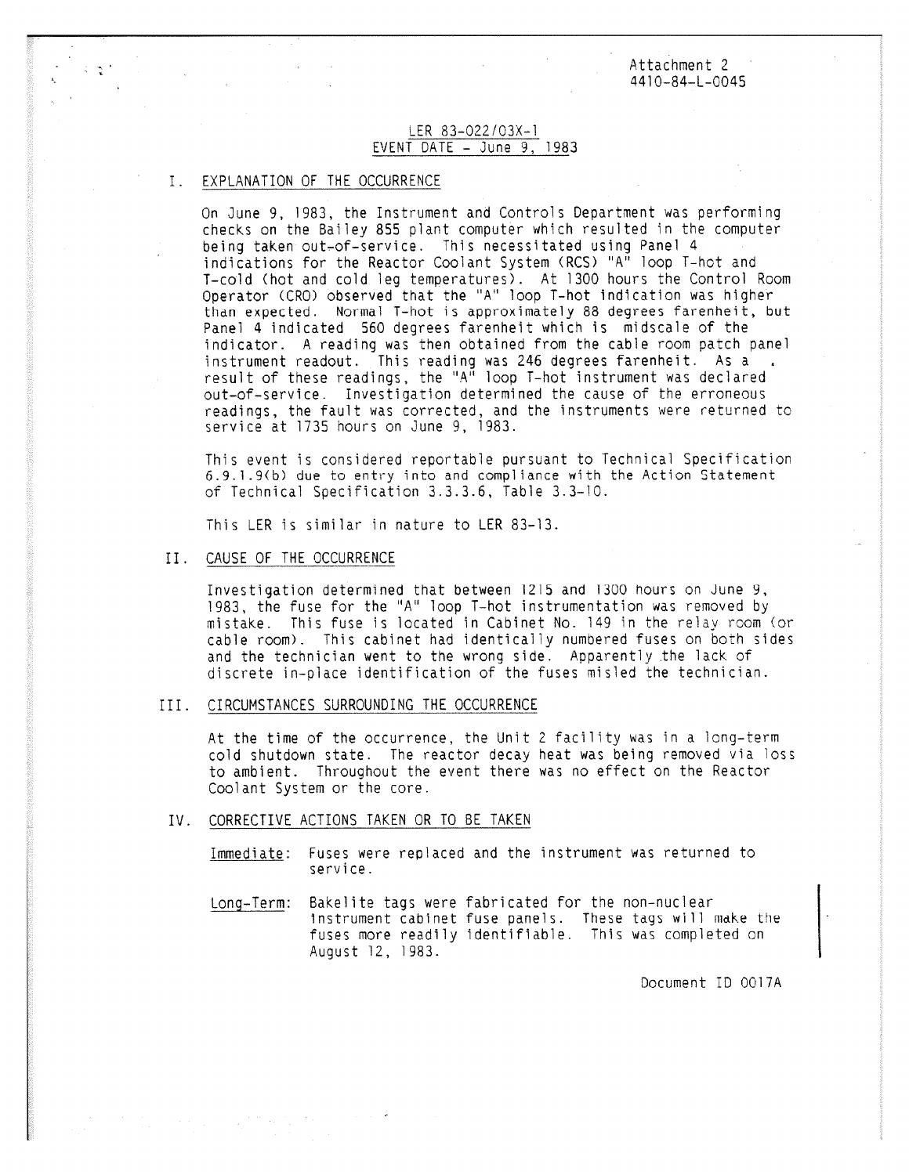Attachment 2 4410-84-L-0045

### LER 83-022/03X-1 EVENT DATE  $-$  June 9, 1983

### I. EXPLANATION OF THE OCCURRENCE

On June 9, 1983, the Instrument and Controls Department was performing checks on the Bailey 855 plant computer which resulted in the computer being taken out-of-service. This necessitated using Panel 4 indications for the Reactor Coolant System (RCS) "A" loop T-hot and T-cold (hot and cold leg temperatures). At 1300 hours the Control Room Operator (CRO) observed that the "A" loop T-hot indication was higher than expected. Normal T-hot is approximately 88 degrees farenheit, but Panel 4 indicated 560 degrees farenheit which is midscale of the indicator. A reading was then obtained from the cable room patch panel instrument readout. This reading was 246 degrees farenheit. As a result of these readings, the "A" loop T-hot instrument was declared out-of-service. Investigation determined the cause of the erroneous readings, the fault was corrected, and the instruments were returned to service at 1735 hours on June 9, 1983.

This event is considered reportable pursuant to Technical Specification 6.9.1.9(b) due to entry into and compliance with the Action Statement of Technical Specification 3.3.3.6, Table 3.3-10.

This LER is similar in nature to LER 83-13.

II. CAUSE OF THE OCCURRENCE

Investigation determined that between 1215 and 1300 hours on June 9, 1983, the fuse for the "A" loop T-hot instrumentation was removed by mistake. This fuse is located in Cabinet No. 149 in the relay room (or cable room). This cabinet had identically numbered fuses on both sides and the technician went to the wrong side. Apparently the lack of discrete in-place identification of the fuses misled the technician.

III. CIRCUMSTANCES SURROUNDING THE OCCURRENCE

At the time of the occurrence, the Unit 2 facility was in a long-term cold shutdown state. The reactor decay heat was being removed via loss to ambient. Throughout the event there was no effect on the Reactor Coolant System or the core.

- IV. CORRECTIVE ACTIONS TAKEN OR TO BE TAKEN
	- Immediate: Fuses were replaced and the instrument was returned to service.
	- Long-Term: Bakelite tags were fabricated for the non-nuclear Instrument cabinet fuse panels. These tags will make the fuses more readily identifiable. This was completed on August 12, 1983.

Document ID 0017A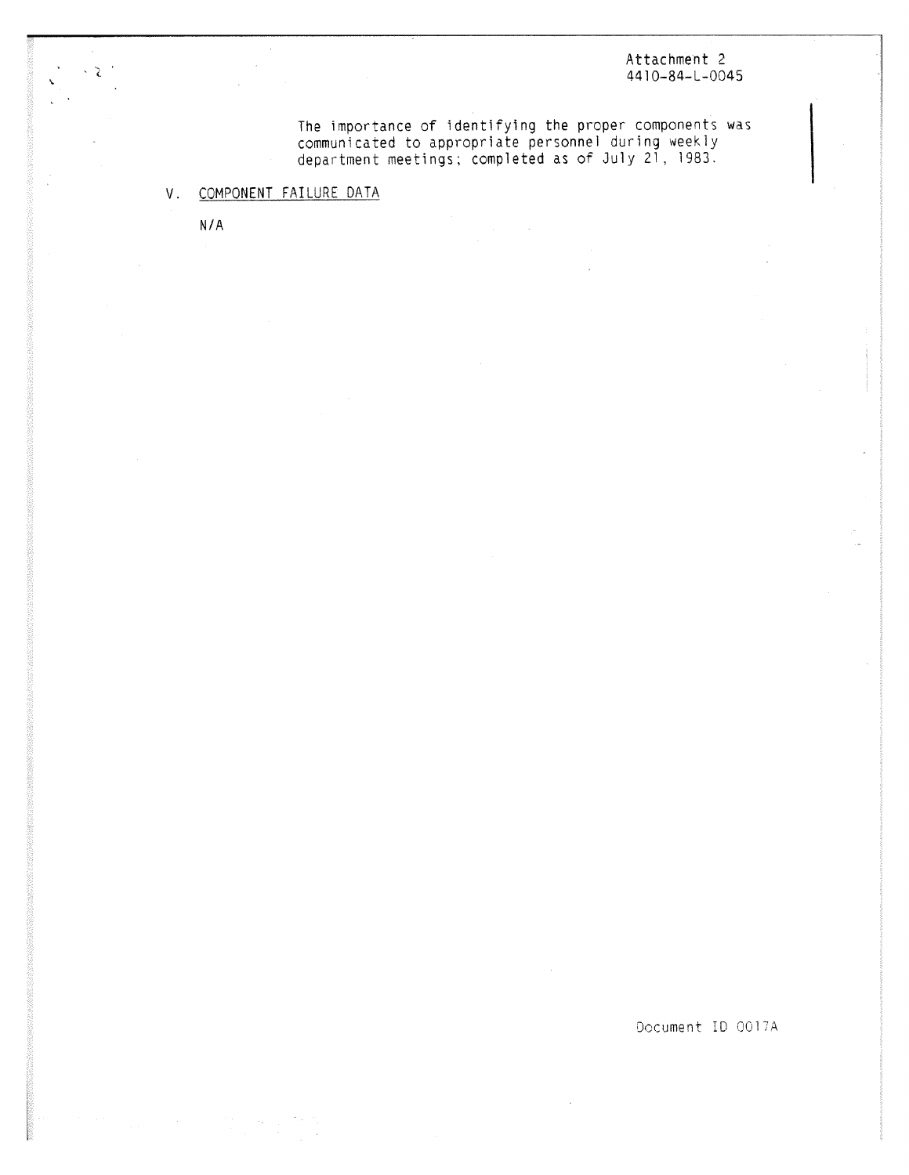## Attachment 2 4410-84-L-0045

The importance of identifying the proper components wa communicated to appropriate personnel during weekly department meetings; completed as of July 21, 1983.

# V. COMPONENT FAILURE DATA

N/A

₽

Document ID 0017A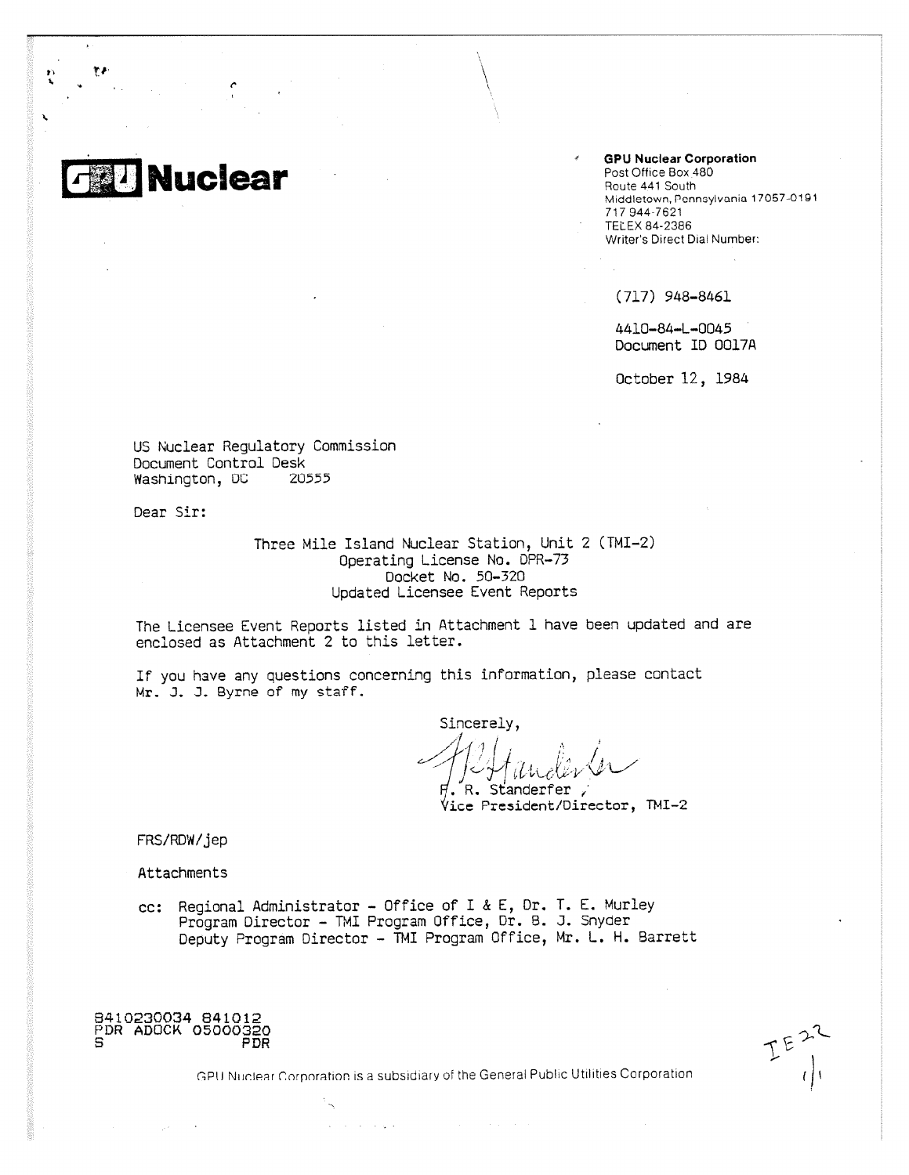**GPU Nuclear Corporation** Post Office Box 480 Route 441 South Middletown, Pennsylvania 17067-0191 717 944-7621 TELEX 84-2386 Writer's Direct Dial Number:

(717) 948-8461

4410-84-L-0045 Document ID 0017A

October 12, 1984

US Nuclear Regulatory Commission Document Control Desk Washington, DC 20555

**Nuclear**

Dear Sir:

to'

Three Mile Island Nuclear Station, Unit 2 (TMI-2) Operating License No. DPR-73 Docket No, 50-320 Updated Licensee Event Reports

The Licensee Event Reports listed in Attachment 1 have been updated and are enclosed as Attachment 2 to this letter.

If you have any questions concerning this information, please contact Mr. J. J. Byrne of my staff.

Sincerely, -1,

R. Standerfer, Ice President/Director, TMI-2

FRS/RDW/jep

Attachments

cc: Regional Administrator - Office of I & E, Dr. T. E. Murley Program Director - TMI Program Office, Dr. B. J. Snyder Deputy Program Director - TMI Program Office, Mr. L. H. Barrett

B410230034 841012 PDR ADOCK 05000320 PDR

 $E^{E^{22}}$ 

GPU Nuclear Corporation is a subsidiary of the General Public Utilities Corporation

and the company of